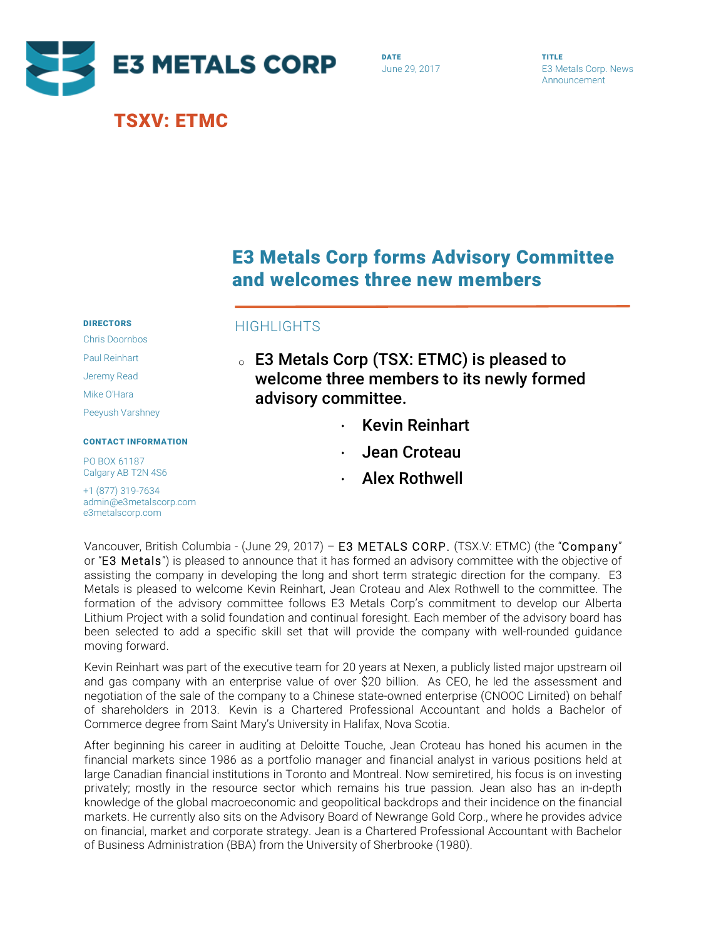

# TSXV: ETMC

DATE June 29, 2017 TITLE E3 Metals Corp. News Announcement

# E3 Metals Corp forms Advisory Committee and welcomes three new members

## HIGHTS

- <sup>o</sup> E3 Metals Corp (TSX: ETMC) is pleased to welcome three members to its newly formed advisory committee.
	- · Kevin Reinhart
	- · Jean Croteau
	- · Alex Rothwell

Vancouver, British Columbia - (June 29, 2017) – E3 METALS CORP. (TSX.V: ETMC) (the "Company" or "E3 Metals") is pleased to announce that it has formed an advisory committee with the objective of assisting the company in developing the long and short term strategic direction for the company. E3 Metals is pleased to welcome Kevin Reinhart, Jean Croteau and Alex Rothwell to the committee. The formation of the advisory committee follows E3 Metals Corp's commitment to develop our Alberta Lithium Project with a solid foundation and continual foresight. Each member of the advisory board has been selected to add a specific skill set that will provide the company with well-rounded guidance moving forward.

Kevin Reinhart was part of the executive team for 20 years at Nexen, a publicly listed major upstream oil and gas company with an enterprise value of over \$20 billion. As CEO, he led the assessment and negotiation of the sale of the company to a Chinese state-owned enterprise (CNOOC Limited) on behalf of shareholders in 2013. Kevin is a Chartered Professional Accountant and holds a Bachelor of Commerce degree from Saint Mary's University in Halifax, Nova Scotia.

After beginning his career in auditing at Deloitte Touche, Jean Croteau has honed his acumen in the financial markets since 1986 as a portfolio manager and financial analyst in various positions held at large Canadian financial institutions in Toronto and Montreal. Now semiretired, his focus is on investing privately; mostly in the resource sector which remains his true passion. Jean also has an in-depth knowledge of the global macroeconomic and geopolitical backdrops and their incidence on the financial markets. He currently also sits on the Advisory Board of Newrange Gold Corp., where he provides advice on financial, market and corporate strategy. Jean is a Chartered Professional Accountant with Bachelor of Business Administration (BBA) from the University of Sherbrooke (1980).

### DIRECTORS Chris Doornbos

Paul Reinhart

Jeremy Read

Mike O'Hara

Peeyush Varshney

### CONTACT INFORMATION

PO BOX 61187 Calgary AB T2N 4S6

+1 (877) 319-7634 admin@e3metalscorp.com e3metalscorp.com